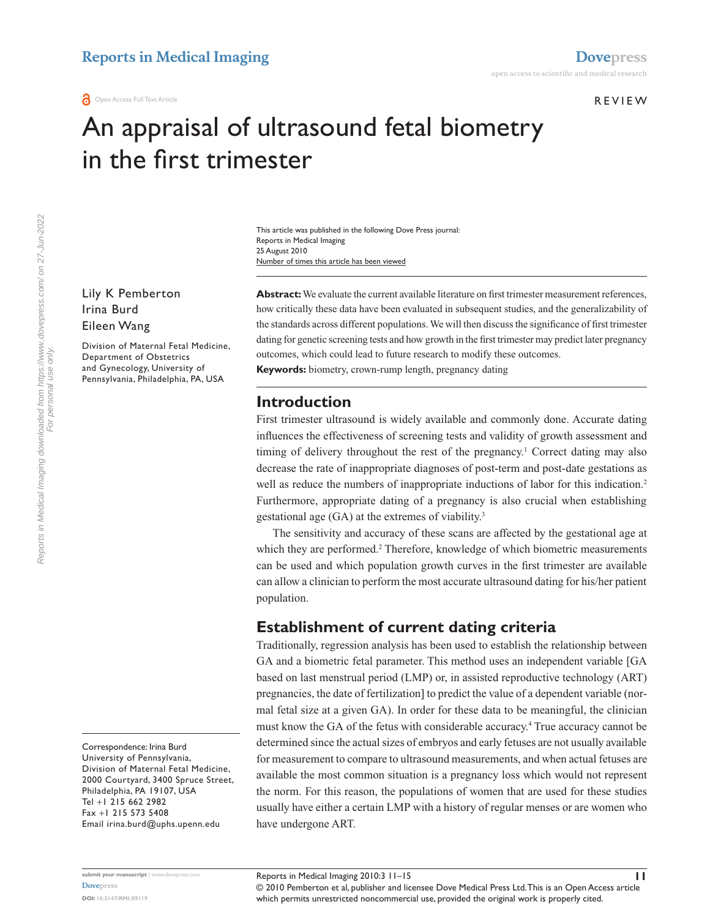#### **REVIEW**

# An appraisal of ultrasound fetal biometry in the first trimester

Number of times this article has been viewed This article was published in the following Dove Press journal: Reports in Medical Imaging 25 August 2010

Lily K Pemberton Irina Burd Eileen Wang

Division of Maternal Fetal Medicine, Department of Obstetrics and Gynecology, University of Pennsylvania, Philadelphia, PA, USA

Correspondence: Irina Burd University of Pennsylvania, Division of Maternal Fetal Medicine, 2000 Courtyard, 3400 Spruce Street, Philadelphia, PA 19107, USA Tel +1 215 662 2982 Fax +1 215 573 5408 Email irina.burd@uphs.upenn.edu

Abstract: We evaluate the current available literature on first trimester measurement references, how critically these data have been evaluated in subsequent studies, and the generalizability of the standards across different populations. We will then discuss the significance of first trimester dating for genetic screening tests and how growth in the first trimester may predict later pregnancy outcomes, which could lead to future research to modify these outcomes.

**Keywords:** biometry, crown-rump length, pregnancy dating

## **Introduction**

First trimester ultrasound is widely available and commonly done. Accurate dating influences the effectiveness of screening tests and validity of growth assessment and timing of delivery throughout the rest of the pregnancy.<sup>1</sup> Correct dating may also decrease the rate of inappropriate diagnoses of post-term and post-date gestations as well as reduce the numbers of inappropriate inductions of labor for this indication.<sup>2</sup> Furthermore, appropriate dating of a pregnancy is also crucial when establishing gestational age (GA) at the extremes of viability.3

The sensitivity and accuracy of these scans are affected by the gestational age at which they are performed.<sup>2</sup> Therefore, knowledge of which biometric measurements can be used and which population growth curves in the first trimester are available can allow a clinician to perform the most accurate ultrasound dating for his/her patient population.

# **Establishment of current dating criteria**

Traditionally, regression analysis has been used to establish the relationship between GA and a biometric fetal parameter. This method uses an independent variable [GA based on last menstrual period (LMP) or, in assisted reproductive technology (ART) pregnancies, the date of fertilization] to predict the value of a dependent variable (normal fetal size at a given GA). In order for these data to be meaningful, the clinician must know the GA of the fetus with considerable accuracy.<sup>4</sup> True accuracy cannot be determined since the actual sizes of embryos and early fetuses are not usually available for measurement to compare to ultrasound measurements, and when actual fetuses are available the most common situation is a pregnancy loss which would not represent the norm. For this reason, the populations of women that are used for these studies usually have either a certain LMP with a history of regular menses or are women who have undergone ART.

© 2010 Pemberton et al, publisher and licensee Dove Medical Press Ltd. This is an Open Access article which permits unrestricted noncommercial use, provided the original work is properly cited.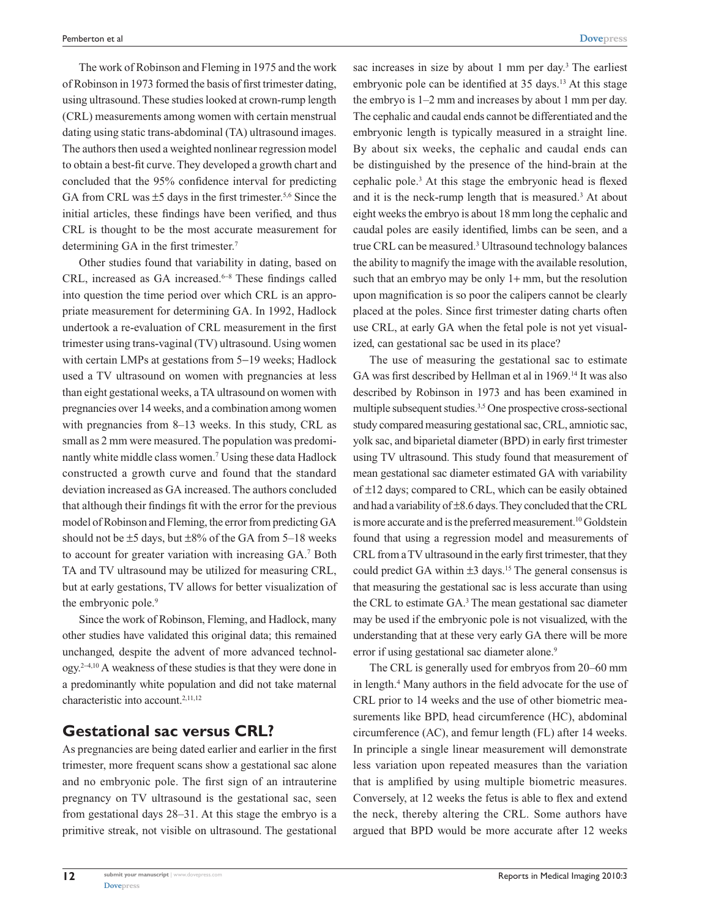The work of Robinson and Fleming in 1975 and the work of Robinson in 1973 formed the basis of first trimester dating, using ultrasound. These studies looked at crown-rump length (CRL) measurements among women with certain menstrual dating using static trans-abdominal (TA) ultrasound images. The authors then used a weighted nonlinear regression model to obtain a best-fit curve. They developed a growth chart and concluded that the 95% confidence interval for predicting GA from CRL was  $\pm$ 5 days in the first trimester.<sup>5,6</sup> Since the initial articles, these findings have been verified, and thus CRL is thought to be the most accurate measurement for determining GA in the first trimester.<sup>7</sup>

Other studies found that variability in dating, based on CRL, increased as GA increased.<sup>6-8</sup> These findings called into question the time period over which CRL is an appropriate measurement for determining GA. In 1992, Hadlock undertook a re-evaluation of CRL measurement in the first trimester using trans-vaginal (TV) ultrasound. Using women with certain LMPs at gestations from 5−19 weeks; Hadlock used a TV ultrasound on women with pregnancies at less than eight gestational weeks, a TA ultrasound on women with pregnancies over 14 weeks, and a combination among women with pregnancies from 8–13 weeks. In this study, CRL as small as 2 mm were measured. The population was predominantly white middle class women.7 Using these data Hadlock constructed a growth curve and found that the standard deviation increased as GA increased. The authors concluded that although their findings fit with the error for the previous model of Robinson and Fleming, the error from predicting GA should not be  $\pm$ 5 days, but  $\pm$ 8% of the GA from 5–18 weeks to account for greater variation with increasing GA.7 Both TA and TV ultrasound may be utilized for measuring CRL, but at early gestations, TV allows for better visualization of the embryonic pole.<sup>9</sup>

Since the work of Robinson, Fleming, and Hadlock, many other studies have validated this original data; this remained unchanged, despite the advent of more advanced technology.2−4,10 A weakness of these studies is that they were done in a predominantly white population and did not take maternal characteristic into account.<sup>2,11,12</sup>

### **Gestational sac versus CRL?**

As pregnancies are being dated earlier and earlier in the first trimester, more frequent scans show a gestational sac alone and no embryonic pole. The first sign of an intrauterine pregnancy on TV ultrasound is the gestational sac, seen from gestational days 28–31. At this stage the embryo is a primitive streak, not visible on ultrasound. The gestational

sac increases in size by about 1 mm per day.<sup>3</sup> The earliest embryonic pole can be identified at 35 days.<sup>13</sup> At this stage the embryo is 1–2 mm and increases by about 1 mm per day. The cephalic and caudal ends cannot be differentiated and the embryonic length is typically measured in a straight line. By about six weeks, the cephalic and caudal ends can be distinguished by the presence of the hind-brain at the cephalic pole.<sup>3</sup> At this stage the embryonic head is flexed and it is the neck-rump length that is measured.<sup>3</sup> At about eight weeks the embryo is about 18 mm long the cephalic and caudal poles are easily identified, limbs can be seen, and a true CRL can be measured.<sup>3</sup> Ultrasound technology balances the ability to magnify the image with the available resolution, such that an embryo may be only 1+ mm, but the resolution upon magnification is so poor the calipers cannot be clearly placed at the poles. Since first trimester dating charts often use CRL, at early GA when the fetal pole is not yet visualized, can gestational sac be used in its place?

The use of measuring the gestational sac to estimate GA was first described by Hellman et al in 1969.14 It was also described by Robinson in 1973 and has been examined in multiple subsequent studies.3,5 One prospective cross-sectional study compared measuring gestational sac, CRL, amniotic sac, yolk sac, and biparietal diameter (BPD) in early first trimester using TV ultrasound. This study found that measurement of mean gestational sac diameter estimated GA with variability of ±12 days; compared to CRL, which can be easily obtained and had a variability of ±8.6 days. They concluded that the CRL is more accurate and is the preferred measurement.<sup>10</sup> Goldstein found that using a regression model and measurements of CRL from a TV ultrasound in the early first trimester, that they could predict GA within  $\pm 3$  days.<sup>15</sup> The general consensus is that measuring the gestational sac is less accurate than using the CRL to estimate GA.<sup>3</sup> The mean gestational sac diameter may be used if the embryonic pole is not visualized, with the understanding that at these very early GA there will be more error if using gestational sac diameter alone.<sup>9</sup>

The CRL is generally used for embryos from 20–60 mm in length.4 Many authors in the field advocate for the use of CRL prior to 14 weeks and the use of other biometric measurements like BPD, head circumference (HC), abdominal circumference (AC), and femur length (FL) after 14 weeks. In principle a single linear measurement will demonstrate less variation upon repeated measures than the variation that is amplified by using multiple biometric measures. Conversely, at 12 weeks the fetus is able to flex and extend the neck, thereby altering the CRL. Some authors have argued that BPD would be more accurate after 12 weeks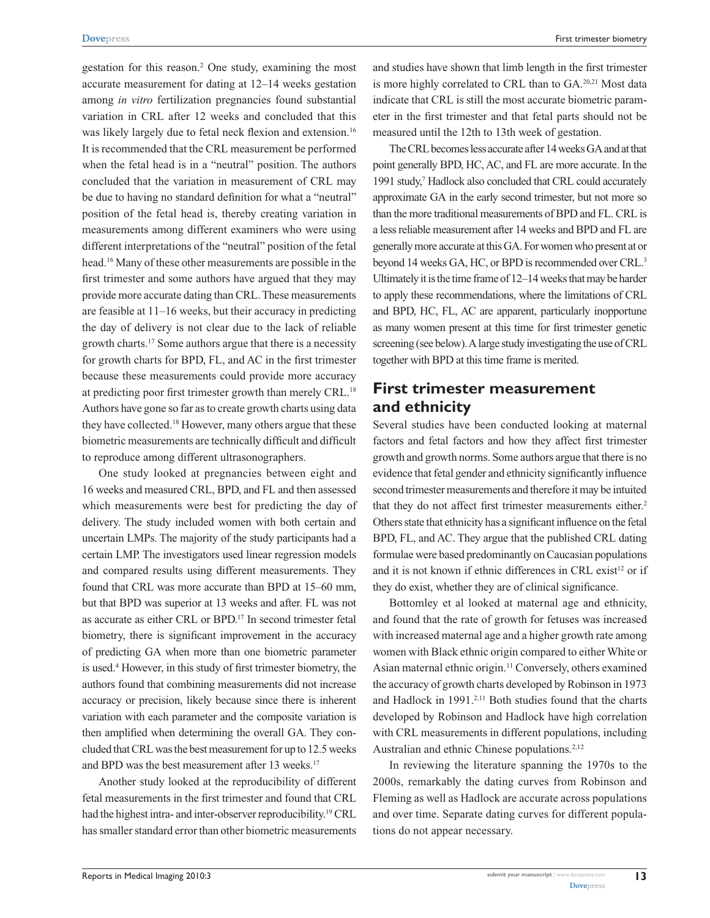gestation for this reason.<sup>2</sup> One study, examining the most accurate measurement for dating at 12–14 weeks gestation among *in vitro* fertilization pregnancies found substantial variation in CRL after 12 weeks and concluded that this was likely largely due to fetal neck flexion and extension.<sup>16</sup> It is recommended that the CRL measurement be performed when the fetal head is in a "neutral" position. The authors concluded that the variation in measurement of CRL may be due to having no standard definition for what a "neutral" position of the fetal head is, thereby creating variation in measurements among different examiners who were using different interpretations of the "neutral" position of the fetal head.16 Many of these other measurements are possible in the first trimester and some authors have argued that they may provide more accurate dating than CRL. These measurements are feasible at 11–16 weeks, but their accuracy in predicting the day of delivery is not clear due to the lack of reliable growth charts.17 Some authors argue that there is a necessity for growth charts for BPD, FL, and AC in the first trimester because these measurements could provide more accuracy at predicting poor first trimester growth than merely CRL.<sup>18</sup> Authors have gone so far as to create growth charts using data they have collected.18 However, many others argue that these biometric measurements are technically difficult and difficult to reproduce among different ultrasonographers.

One study looked at pregnancies between eight and 16 weeks and measured CRL, BPD, and FL and then assessed which measurements were best for predicting the day of delivery. The study included women with both certain and uncertain LMPs. The majority of the study participants had a certain LMP. The investigators used linear regression models and compared results using different measurements. They found that CRL was more accurate than BPD at 15–60 mm, but that BPD was superior at 13 weeks and after. FL was not as accurate as either CRL or BPD.17 In second trimester fetal biometry, there is significant improvement in the accuracy of predicting GA when more than one biometric parameter is used.4 However, in this study of first trimester biometry, the authors found that combining measurements did not increase accuracy or precision, likely because since there is inherent variation with each parameter and the composite variation is then amplified when determining the overall GA. They concluded that CRL was the best measurement for up to 12.5 weeks and BPD was the best measurement after 13 weeks.<sup>17</sup>

Another study looked at the reproducibility of different fetal measurements in the first trimester and found that CRL had the highest intra- and inter-observer reproducibility.<sup>19</sup> CRL has smaller standard error than other biometric measurements and studies have shown that limb length in the first trimester is more highly correlated to CRL than to GA.<sup>20,21</sup> Most data indicate that CRL is still the most accurate biometric parameter in the first trimester and that fetal parts should not be measured until the 12th to 13th week of gestation.

The CRL becomes less accurate after 14 weeks GA and at that point generally BPD, HC, AC, and FL are more accurate. In the 1991 study,<sup>7</sup> Hadlock also concluded that CRL could accurately approximate GA in the early second trimester, but not more so than the more traditional measurements of BPD and FL. CRL is a less reliable measurement after 14 weeks and BPD and FL are generally more accurate at this GA. For women who present at or beyond 14 weeks GA, HC, or BPD is recommended over CRL.<sup>3</sup> Ultimately it is the time frame of 12–14 weeks that may be harder to apply these recommendations, where the limitations of CRL and BPD, HC, FL, AC are apparent, particularly inopportune as many women present at this time for first trimester genetic screening (see below). A large study investigating the use of CRL together with BPD at this time frame is merited.

## **First trimester measurement and ethnicity**

Several studies have been conducted looking at maternal factors and fetal factors and how they affect first trimester growth and growth norms. Some authors argue that there is no evidence that fetal gender and ethnicity significantly influence second trimester measurements and therefore it may be intuited that they do not affect first trimester measurements either.<sup>2</sup> Others state that ethnicity has a significant influence on the fetal BPD, FL, and AC. They argue that the published CRL dating formulae were based predominantly on Caucasian populations and it is not known if ethnic differences in CRL exist<sup>12</sup> or if they do exist, whether they are of clinical significance.

Bottomley et al looked at maternal age and ethnicity, and found that the rate of growth for fetuses was increased with increased maternal age and a higher growth rate among women with Black ethnic origin compared to either White or Asian maternal ethnic origin.<sup>11</sup> Conversely, others examined the accuracy of growth charts developed by Robinson in 1973 and Hadlock in 1991.<sup>2,11</sup> Both studies found that the charts developed by Robinson and Hadlock have high correlation with CRL measurements in different populations, including Australian and ethnic Chinese populations.<sup>2,12</sup>

In reviewing the literature spanning the 1970s to the 2000s, remarkably the dating curves from Robinson and Fleming as well as Hadlock are accurate across populations and over time. Separate dating curves for different populations do not appear necessary.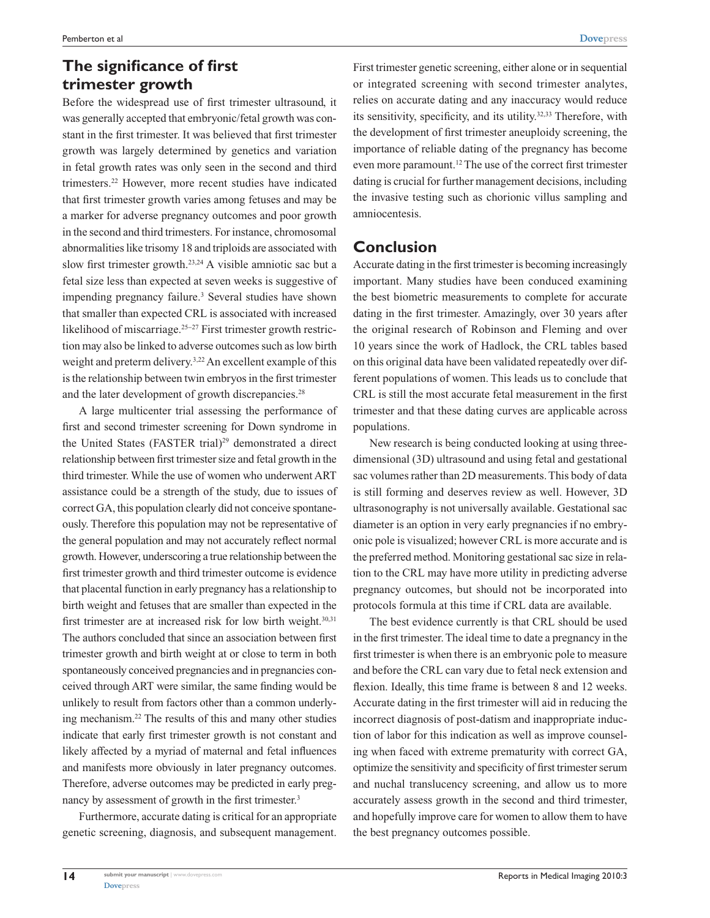# **The significance of first trimester growth**

Before the widespread use of first trimester ultrasound, it was generally accepted that embryonic/fetal growth was constant in the first trimester. It was believed that first trimester growth was largely determined by genetics and variation in fetal growth rates was only seen in the second and third trimesters.22 However, more recent studies have indicated that first trimester growth varies among fetuses and may be a marker for adverse pregnancy outcomes and poor growth in the second and third trimesters. For instance, chromosomal abnormalities like trisomy 18 and triploids are associated with slow first trimester growth.23,24 A visible amniotic sac but a fetal size less than expected at seven weeks is suggestive of impending pregnancy failure.<sup>3</sup> Several studies have shown that smaller than expected CRL is associated with increased likelihood of miscarriage.25−27 First trimester growth restriction may also be linked to adverse outcomes such as low birth weight and preterm delivery.<sup>3,22</sup> An excellent example of this is the relationship between twin embryos in the first trimester and the later development of growth discrepancies.<sup>28</sup>

A large multicenter trial assessing the performance of first and second trimester screening for Down syndrome in the United States (FASTER trial)<sup>29</sup> demonstrated a direct relationship between first trimester size and fetal growth in the third trimester. While the use of women who underwent ART assistance could be a strength of the study, due to issues of correct GA, this population clearly did not conceive spontaneously. Therefore this population may not be representative of the general population and may not accurately reflect normal growth. However, underscoring a true relationship between the first trimester growth and third trimester outcome is evidence that placental function in early pregnancy has a relationship to birth weight and fetuses that are smaller than expected in the first trimester are at increased risk for low birth weight.<sup>30,31</sup> The authors concluded that since an association between first trimester growth and birth weight at or close to term in both spontaneously conceived pregnancies and in pregnancies conceived through ART were similar, the same finding would be unlikely to result from factors other than a common underlying mechanism.22 The results of this and many other studies indicate that early first trimester growth is not constant and likely affected by a myriad of maternal and fetal influences and manifests more obviously in later pregnancy outcomes. Therefore, adverse outcomes may be predicted in early pregnancy by assessment of growth in the first trimester.<sup>3</sup>

Furthermore, accurate dating is critical for an appropriate genetic screening, diagnosis, and subsequent management.

First trimester genetic screening, either alone or in sequential or integrated screening with second trimester analytes, relies on accurate dating and any inaccuracy would reduce its sensitivity, specificity, and its utility.32,33 Therefore, with the development of first trimester aneuploidy screening, the importance of reliable dating of the pregnancy has become even more paramount.12 The use of the correct first trimester dating is crucial for further management decisions, including the invasive testing such as chorionic villus sampling and amniocentesis.

# **Conclusion**

Accurate dating in the first trimester is becoming increasingly important. Many studies have been conduced examining the best biometric measurements to complete for accurate dating in the first trimester. Amazingly, over 30 years after the original research of Robinson and Fleming and over 10 years since the work of Hadlock, the CRL tables based on this original data have been validated repeatedly over different populations of women. This leads us to conclude that CRL is still the most accurate fetal measurement in the first trimester and that these dating curves are applicable across populations.

New research is being conducted looking at using threedimensional (3D) ultrasound and using fetal and gestational sac volumes rather than 2D measurements. This body of data is still forming and deserves review as well. However, 3D ultrasonography is not universally available. Gestational sac diameter is an option in very early pregnancies if no embryonic pole is visualized; however CRL is more accurate and is the preferred method. Monitoring gestational sac size in relation to the CRL may have more utility in predicting adverse pregnancy outcomes, but should not be incorporated into protocols formula at this time if CRL data are available.

The best evidence currently is that CRL should be used in the first trimester. The ideal time to date a pregnancy in the first trimester is when there is an embryonic pole to measure and before the CRL can vary due to fetal neck extension and flexion. Ideally, this time frame is between 8 and 12 weeks. Accurate dating in the first trimester will aid in reducing the incorrect diagnosis of post-datism and inappropriate induction of labor for this indication as well as improve counseling when faced with extreme prematurity with correct GA, optimize the sensitivity and specificity of first trimester serum and nuchal translucency screening, and allow us to more accurately assess growth in the second and third trimester, and hopefully improve care for women to allow them to have the best pregnancy outcomes possible.

**14**